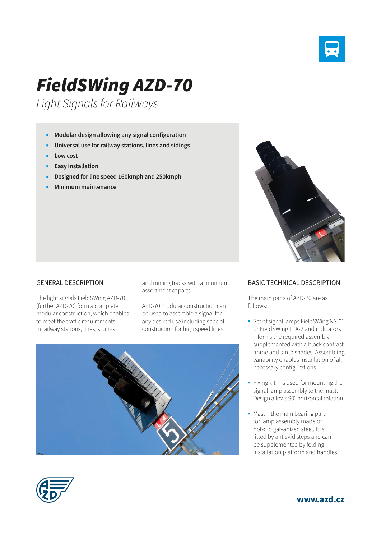

## *FieldSWing AZD-70*

*Light Signals for Railways*

- **Modular design allowing any signal configuration**
- **Universal use for railway stations, lines and sidings**
- **Low cost**
- **Easy installation**
- **Designed for line speed 160kmph and 250kmph**
- **Minimum maintenance**

## GENERAL DESCRIPTION

The light signals FieldSWing AZD-70 (further AZD-70) form a complete modular construction, which enables to meet the traffic requirements in railway stations, lines, sidings

and mining tracks with a minimum assortment of parts.

AZD-70 modular construction can be used to assemble a signal for any desired use including special construction for high speed lines.





## BASIC TECHNICAL DESCRIPTION

The main parts of AZD-70 are as follows:

- Set of signal lamps FieldSWing NS-01 or FieldSWing LLA-2 and indicators – forms the required assembly supplemented with a black contrast frame and lamp shades. Assembling variability enables installation of all necessary configurations.
- Fixing kit is used for mounting the signal lamp assembly to the mast. Design allows 90° horizontal rotation.
- Mast the main bearing part for lamp assembly made of hot-dip galvanized steel. It is fitted by antiskid steps and can be supplemented by folding installation platform and handles